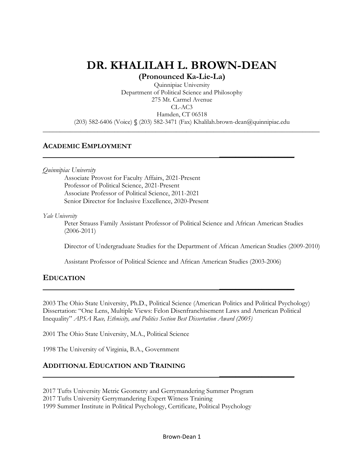# **DR. KHALILAH L. BROWN-DEAN**

**(Pronounced Ka-Lie-La)**

Quinnipiac University Department of Political Science and Philosophy 275 Mt. Carmel Avenue CL-AC3 Hamden, CT 06518 (203) 582-6406 (Voice) **§** (203) 582-3471 (Fax) Khalilah.brown-dean@quinnipiac.edu

**\_\_\_\_\_\_\_\_\_\_\_\_\_\_\_\_\_\_\_\_\_\_\_\_\_\_\_\_\_\_\_\_\_\_\_\_\_\_\_\_\_\_\_\_\_\_\_\_\_\_\_\_\_\_\_\_\_\_\_\_\_\_\_\_\_\_\_\_\_\_\_\_\_\_\_\_\_\_\_\_\_**

 **\_\_\_\_\_\_\_\_\_\_\_\_\_\_\_\_\_\_\_\_\_\_\_**

# **ACADEMIC EMPLOYMENT**

*Quinnipiac University* 

Associate Provost for Faculty Affairs, 2021-Present Professor of Political Science, 2021-Present Associate Professor of Political Science, 2011-2021 Senior Director for Inclusive Excellence, 2020-Present

*Yale University* 

Peter Strauss Family Assistant Professor of Political Science and African American Studies (2006-2011)

Director of Undergraduate Studies for the Department of African American Studies (2009-2010)

Assistant Professor of Political Science and African American Studies (2003-2006)

 **\_\_\_\_\_\_\_\_\_\_\_\_\_\_\_\_\_\_\_\_\_\_\_**

 **\_\_\_\_\_\_\_\_\_\_\_\_\_\_\_\_\_\_\_\_\_\_\_**

# **EDUCATION**

2003 The Ohio State University, Ph.D., Political Science (American Politics and Political Psychology) Dissertation: "One Lens, Multiple Views: Felon Disenfranchisement Laws and American Political Inequality" *APSA Race, Ethnicity, and Politics Section Best Dissertation Award (2005)*

2001 The Ohio State University, M.A., Political Science

1998 The University of Virginia, B.A., Government

# **ADDITIONAL EDUCATION AND TRAINING**

2017 Tufts University Metric Geometry and Gerrymandering Summer Program

2017 Tufts University Gerrymandering Expert Witness Training

1999 Summer Institute in Political Psychology, Certificate, Political Psychology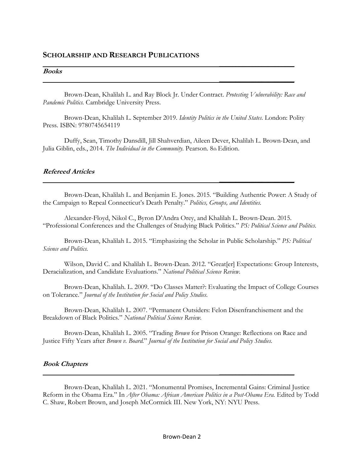### **SCHOLARSHIP AND RESEARCH PUBLICATIONS**

#### **Books**

Brown-Dean, Khalilah L. and Ray Block Jr. Under Contract. *Protesting Vulnerability: Race and Pandemic Politics.* Cambridge University Press.

 **\_\_\_\_\_\_\_\_\_\_\_\_\_\_\_\_\_\_\_\_\_\_\_**

 **\_\_\_\_\_\_\_\_\_\_\_\_\_\_\_\_\_\_\_\_\_\_\_**

Brown-Dean, Khalilah L. September 2019. *Identity Politics in the United States.* London: Polity Press. ISBN: 9780745654119

Duffy, Sean, Timothy Dansdill, Jill Shahverdian, Aileen Dever, Khalilah L. Brown-Dean, and Julia Giblin, eds., 2014. *The Individual in the Community.* Pearson. 8th Edition.

 **\_\_\_\_\_\_\_\_\_\_\_\_\_\_\_\_\_\_\_\_\_\_\_**

#### **Refereed Articles**

Brown-Dean, Khalilah L. and Benjamin E. Jones. 2015. "Building Authentic Power: A Study of the Campaign to Repeal Connecticut's Death Penalty." *Politics, Groups, and Identities.* 

Alexander-Floyd, Nikol C., Byron D'Andra Orey, and Khalilah L. Brown-Dean. 2015. "Professional Conferences and the Challenges of Studying Black Politics." *PS: Political Science and Politics.*

Brown-Dean, Khalilah L. 2015. "Emphasizing the Scholar in Public Scholarship." *PS: Political Science and Politics.* 

Wilson, David C. and Khalilah L. Brown-Dean. 2012. "Great[er] Expectations: Group Interests, Deracialization, and Candidate Evaluations." *National Political Science Review.* 

Brown-Dean, Khalilah. L. 2009. "Do Classes Matter?: Evaluating the Impact of College Courses on Tolerance." *Journal of the Institution for Social and Policy Studies.* 

Brown-Dean, Khalilah L. 2007. "Permanent Outsiders: Felon Disenfranchisement and the Breakdown of Black Politics." *National Political Science Review.* 

Brown-Dean, Khalilah L. 2005. "Trading *Brown* for Prison Orange: Reflections on Race and Justice Fifty Years after *Brown v. Board.*" *Journal of the Institution for Social and Policy Studies.* 

 **\_\_\_\_\_\_\_\_\_\_\_\_\_\_\_\_\_\_\_\_\_\_\_**

#### **Book Chapters**

Brown-Dean, Khalilah L. 2021. "Monumental Promises, Incremental Gains: Criminal Justice Reform in the Obama Era." In *After Obama: African American Politics in a Post-Obama Era*. Edited by Todd C. Shaw, Robert Brown, and Joseph McCormick III. New York, NY: NYU Press.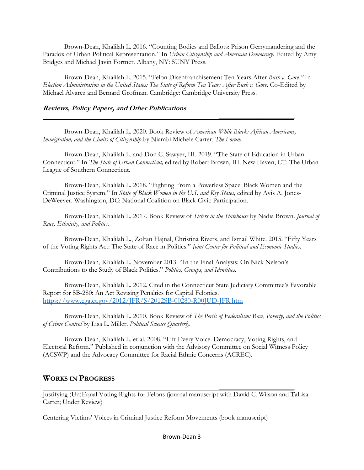Brown-Dean, Khalilah L. 2016*.* "Counting Bodies and Ballots: Prison Gerrymandering and the Paradox of Urban Political Representation." In *Urban Citizenship and American Democracy.* Edited by Amy Bridges and Michael Javin Fortner. Albany, NY: SUNY Press.

Brown-Dean, Khalilah L. 2015*.* "Felon Disenfranchisement Ten Years After *Bush v. Gore."* In *Election Administration in the United States: The State of Reform Ten Years After Bush v. Gore*. Co-Edited by Michael Alvarez and Bernard Grofman. Cambridge: Cambridge University Press.

#### **Reviews, Policy Papers, and Other Publications**

Brown-Dean, Khalilah L. 2020. Book Review of *American While Black: African Americans, Immigration, and the Limits of Citizenship* by Niambi Michele Carter. *The Forum.* 

 **\_\_\_\_\_\_\_\_\_\_\_\_\_\_\_\_\_\_\_\_\_\_\_**

Brown-Dean, Khalilah L. and Don C. Sawyer, III. 2019. "The State of Education in Urban Connecticut." In *The State of Urban Connecticut,* edited by Robert Brown, III. New Haven, CT: The Urban League of Southern Connecticut.

Brown-Dean, Khalilah L. 2018. "Fighting From a Powerless Space: Black Women and the Criminal Justice System." In *State of Black Women in the U.S. and Key States,* edited by Avis A. Jones-DeWeever. Washington, DC: National Coalition on Black Civic Participation.

Brown-Dean, Khalilah L. 2017. Book Review of *Sisters in the Statehouse* by Nadia Brown. *Journal of Race, Ethnicity, and Politics.* 

Brown-Dean, Khalilah L., Zoltan Hajnal, Christina Rivers, and Ismail White. 2015. "Fifty Years of the Voting Rights Act: The State of Race in Politics." *Joint Center for Political and Economic Studies.*

Brown-Dean, Khalilah L. November 2013. "In the Final Analysis: On Nick Nelson's Contributions to the Study of Black Politics." *Politics, Groups, and Identities.* 

Brown-Dean, Khalilah L. 2012. Cited in the Connecticut State Judiciary Committee's Favorable Report for SB-280: An Act Revising Penalties for Capital Felonies. <https://www.cga.ct.gov/2012/JFR/S/2012SB-00280-R00JUD-JFR.htm>

Brown-Dean, Khalilah L. 2010. Book Review of *The Perils of Federalism: Race, Poverty, and the Politics of Crime Control* by Lisa L. Miller. *Political Science Quarterly.* 

Brown-Dean, Khalilah L. et al. 2008. "Lift Every Voice: Democracy, Voting Rights, and Electoral Reform." Published in conjunction with the Advisory Committee on Social Witness Policy (ACSWP) and the Advocacy Committee for Racial Ethnic Concerns (ACREC).

# **WORKS IN PROGRESS**

Justifying (Un)Equal Voting Rights for Felons (journal manuscript with David C. Wilson and TaLisa Carter; Under Review)

 **\_\_\_\_\_\_\_\_\_\_\_\_\_\_\_\_\_\_\_\_\_\_\_**

Centering Victims' Voices in Criminal Justice Reform Movements (book manuscript)

Brown-Dean 3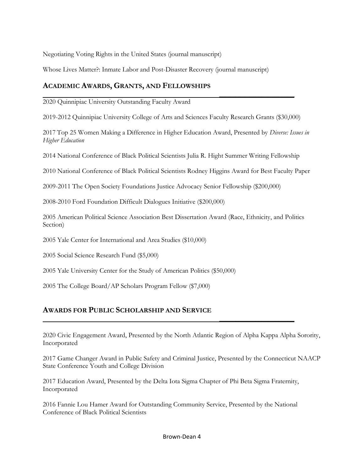Negotiating Voting Rights in the United States (journal manuscript)

Whose Lives Matter?: Inmate Labor and Post-Disaster Recovery (journal manuscript)

# **ACADEMIC AWARDS, GRANTS, AND FELLOWSHIPS**

 **\_\_\_\_\_\_\_\_\_\_\_\_\_\_\_\_\_\_\_\_\_\_\_** 2020 Quinnipiac University Outstanding Faculty Award

2019-2012 Quinnipiac University College of Arts and Sciences Faculty Research Grants (\$30,000)

2017 Top 25 Women Making a Difference in Higher Education Award, Presented by *Diverse: Issues in Higher Education*

2014 National Conference of Black Political Scientists Julia R. Hight Summer Writing Fellowship

2010 National Conference of Black Political Scientists Rodney Higgins Award for Best Faculty Paper

2009-2011 The Open Society Foundations Justice Advocacy Senior Fellowship (\$200,000)

2008-2010 Ford Foundation Difficult Dialogues Initiative (\$200,000)

2005 American Political Science Association Best Dissertation Award (Race, Ethnicity, and Politics Section)

2005 Yale Center for International and Area Studies (\$10,000)

2005 Social Science Research Fund (\$5,000)

2005 Yale University Center for the Study of American Politics (\$50,000)

2005 The College Board/AP Scholars Program Fellow (\$7,000)

# **AWARDS FOR PUBLIC SCHOLARSHIP AND SERVICE**

2020 Civic Engagement Award, Presented by the North Atlantic Region of Alpha Kappa Alpha Sorority, Incorporated

2017 Game Changer Award in Public Safety and Criminal Justice, Presented by the Connecticut NAACP State Conference Youth and College Division

2017 Education Award, Presented by the Delta Iota Sigma Chapter of Phi Beta Sigma Fraternity, Incorporated

 **\_\_\_\_\_\_\_\_\_\_\_\_\_\_\_\_\_\_\_\_\_\_\_**

2016 Fannie Lou Hamer Award for Outstanding Community Service, Presented by the National Conference of Black Political Scientists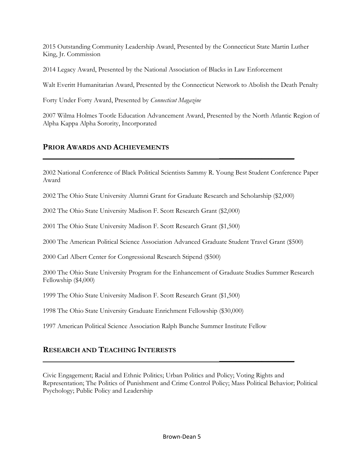2015 Outstanding Community Leadership Award, Presented by the Connecticut State Martin Luther King, Jr. Commission

2014 Legacy Award, Presented by the National Association of Blacks in Law Enforcement

Walt Everitt Humanitarian Award, Presented by the Connecticut Network to Abolish the Death Penalty

Forty Under Forty Award, Presented by *Connecticut Magazine* 

2007 Wilma Holmes Tootle Education Advancement Award, Presented by the North Atlantic Region of Alpha Kappa Alpha Sorority, Incorporated

# **PRIOR AWARDS AND ACHIEVEMENTS**

2002 National Conference of Black Political Scientists Sammy R. Young Best Student Conference Paper Award

2002 The Ohio State University Alumni Grant for Graduate Research and Scholarship (\$2,000)

 **\_\_\_\_\_\_\_\_\_\_\_\_\_\_\_\_\_\_\_\_\_\_\_**

2002 The Ohio State University Madison F. Scott Research Grant (\$2,000)

2001 The Ohio State University Madison F. Scott Research Grant (\$1,500)

2000 The American Political Science Association Advanced Graduate Student Travel Grant (\$500)

2000 Carl Albert Center for Congressional Research Stipend (\$500)

2000 The Ohio State University Program for the Enhancement of Graduate Studies Summer Research Fellowship (\$4,000)

1999 The Ohio State University Madison F. Scott Research Grant (\$1,500)

1998 The Ohio State University Graduate Enrichment Fellowship (\$30,000)

1997 American Political Science Association Ralph Bunche Summer Institute Fellow

# **RESEARCH AND TEACHING INTERESTS**

Civic Engagement; Racial and Ethnic Politics; Urban Politics and Policy; Voting Rights and Representation; The Politics of Punishment and Crime Control Policy; Mass Political Behavior; Political Psychology; Public Policy and Leadership

 **\_\_\_\_\_\_\_\_\_\_\_\_\_\_\_\_\_\_\_\_\_\_\_**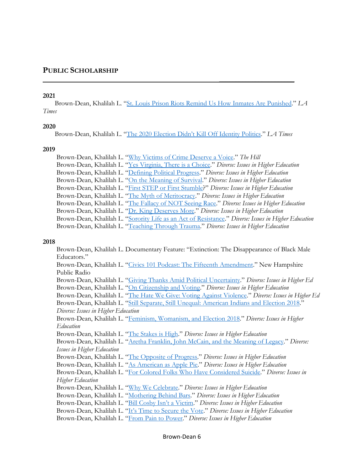### **PUBLIC SCHOLARSHIP**

#### **2021**

 Brown-Dean, Khalilah L. "[St. Louis Prison Riots Remind Us How Inmates Are Punished.](https://thegrio.com/2021/02/12/st-louis-prison-inmates-coronavirus-pandemic/)" *LA Times* 

 **\_\_\_\_\_\_\_\_\_\_\_\_\_\_\_\_\_\_\_\_\_\_\_**

#### **2020**

Brown-Dean, Khalilah L. ["The 2020 Election Didn't Kill Off Identity Politics](https://www.latimes.com/opinion/story/2020-11-08/identity-politics-2020-election-born-again)." *LA Times* 

#### **2019**

| Brown-Dean, Khalilah L. "Why Victims of Crime Deserve a Voice." The Hill                             |
|------------------------------------------------------------------------------------------------------|
| Brown-Dean, Khalilah L. "Yes Virginia, There is a Choice." Diverse: Issues in Higher Education       |
| Brown-Dean, Khalilah L. "Defining Political Progress." Diverse: Issues in Higher Education           |
| Brown-Dean, Khalilah L. "On the Meaning of Survival." Diverse: Issues in Higher Education            |
| Brown-Dean, Khalilah L. "First STEP or First Stumble?" Diverse: Issues in Higher Education           |
| Brown-Dean, Khalilah L. "The Myth of Meritocracy." Diverse: Issues in Higher Education               |
| Brown-Dean, Khalilah L. "The Fallacy of NOT Seeing Race." Diverse: Issues in Higher Education        |
| Brown-Dean, Khalilah L. "Dr. King Deserves More." Diverse: Issues in Higher Education                |
| Brown-Dean, Khalilah L. "Sorority Life as an Act of Resistance." Diverse: Issues in Higher Education |
| Brown-Dean, Khalilah L. "Teaching Through Trauma." Diverse: Issues in Higher Education               |

#### **2018**

 Brown-Dean, Khalilah L. Documentary Feature: "Extinction: The Disappearance of Black Male Educators." Brown-Dean, Khalilah L. "[Civics 101 Podcast: The Fifteenth Amendment](https://www.civics101podcast.org/civics-101-episodes/ep103)." New Hampshire Public Radio Brown-Dean, Khalilah L. "[Giving Thanks Amid Political Uncertainty](https://diverseeducation.com/article/132515/)." *Diverse: Issues in Higher Ed* Brown-Dean, Khalilah L. "[On Citizenship and Voting](https://diverseeducation.com/article/131082/)." *Diverse: Issues in Higher Education* Brown-Dean, Khalilah L. "[The Hate We Give: Voting Against Violence](https://diverseeducation.com/article/130567/)." *Diverse: Issues in Higher Ed* Brown-Dean, Khalilah L. "Still Separate, Still Unequal: [American Indians and Election 2018](https://diverseeducation.com/article/129926/)." *Diverse: Issues in Higher Education* Brown-Dean, Khalilah L. "[Feminism, Womanism, and Election 2018](https://diverseeducation.com/article/129169/)." *Diverse: Issues in Higher Education* Brown-Dean, Khalilah L. "[The Stakes is High](https://diverseeducation.com/article/128581/)." *Diverse: Issues in Higher Education* Brown-Dean, Khalilah L. "[Aretha Franklin, John McCain, and the Meaning of Legacy](https://diverseeducation.com/article/125431/)." *Diverse: Issues in Higher Education*  Brown-Dean, Khalilah L. "[The Opposite of Progress](https://diverseeducation.com/article/118924/)." *Diverse: Issues in Higher Education* Brown-Dean, Khalilah L. "[As American as Apple Pie](https://diverseeducation.com/article/118562/)." *Diverse: Issues in Higher Education* Brown-Dean, Khalilah L. "[For Colored Folks Who Have Considered Suicide](https://diverseeducation.com/article/117831/)." *Diverse: Issues in Higher Education* Brown-Dean, Khalilah L. "[Why We Celebrate](https://diverseeducation.com/article/116709/)." *Diverse: Issues in Higher Education* Brown-Dean, Khalilah L. "[Mothering Behind Bars](https://diverseeducation.com/article/116013/)." *Diverse: Issues in Higher Education* Brown-Dean, Khalilah L. ["Bill Cosby Isn't a Victim.](https://diverseeducation.com/article/115363/)" *Diverse: Issues in Higher Education* Brown-Dean, Khalilah L. ["It's Time to Secure the Vote.](https://diverseeducation.com/article/114814/)" *Diverse: Issues in Higher Education* Brown-Dean, Khalilah L. "[From Pain to Power](https://diverseeducation.com/article/114259/)." *Diverse: Issues in Higher Education*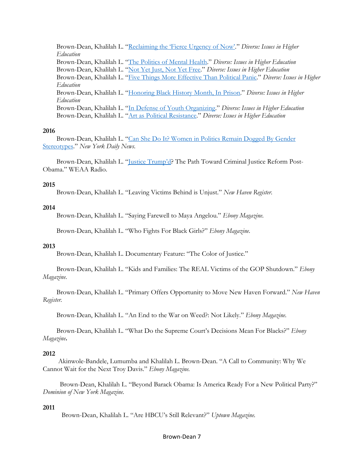Brown-Dean, Khalilah L. ["Reclaiming the 'Fierce Urgency of Now'."](https://diverseeducation.com/article/113701/) *Diverse: Issues in Higher Education* Brown-Dean, Khalilah L. "[The Politics of Mental Health](https://diverseeducation.com/article/113087/)." *Diverse: Issues in Higher Education* Brown-Dean, Khalilah L. "[Not Yet Just, Not Yet Free](https://diverseeducation.com/article/112576/)." *Diverse: Issues in Higher Education* Brown-Dean, Khalilah L. "[Five Things More Effective Than Political Panic](https://diverseeducation.com/article/112219/)." *Diverse: Issues in Higher Education* Brown-Dean, Khalilah L. "[Honoring Black History Month, In Prison](https://diverseeducation.com/article/111323/)." *Diverse: Issues in Higher Education* Brown-Dean, Khalilah L. "[In Defense of Youth Organizing](https://diverseeducation.com/article/110956/)." *Diverse: Issues in Higher Education* Brown-Dean, Khalilah L. "[Art as Political Resistance](https://diverseeducation.com/article/110419/)." *Diverse: Issues in Higher Education*

#### **2016**

 Brown-Dean, Khalilah L. "[Can She Do It? Women in Politics Remain Dogged By Gender](https://bit.ly/2KjcNxU)  [Stereotypes](https://bit.ly/2KjcNxU)." *New York Daily News.* 

 Brown-Dean, Khalilah L. ["Justice Trump'd](https://www.weaa.org/post/justice-trumpd#stream/0)? The Path Toward Criminal Justice Reform Post-Obama." WEAA Radio.

#### **2015**

Brown-Dean, Khalilah L. "Leaving Victims Behind is Unjust." *New Haven Register.* 

#### **2014**

Brown-Dean, Khalilah L. "Saying Farewell to Maya Angelou." *Ebony Magazine.* 

Brown-Dean, Khalilah L. "Who Fights For Black Girls?" *Ebony Magazine.* 

#### **2013**

Brown-Dean, Khalilah L. Documentary Feature: "The Color of Justice."

 Brown-Dean, Khalilah L. "Kids and Families: The REAL Victims of the GOP Shutdown." *Ebony Magazine*.

 Brown-Dean, Khalilah L. "Primary Offers Opportunity to Move New Haven Forward." *New Haven Register.* 

Brown-Dean, Khalilah L. "An End to the War on Weed?: Not Likely." *Ebony Magazine.* 

 Brown-Dean, Khalilah L. "What Do the Supreme Court's Decisions Mean For Blacks?" *Ebony Magazine***.** 

#### **2012**

 Akinwole-Bandele, Lumumba and Khalilah L. Brown-Dean. "A Call to Community: Why We Cannot Wait for the Next Troy Davis." *Ebony Magazine.* 

 Brown-Dean, Khalilah L. "Beyond Barack Obama: Is America Ready For a New Political Party?" *Dominion of New York Magazine.* 

#### **2011**

Brown-Dean, Khalilah L. "Are HBCU's Still Relevant?" *Uptown Magazine.* 

#### Brown-Dean 7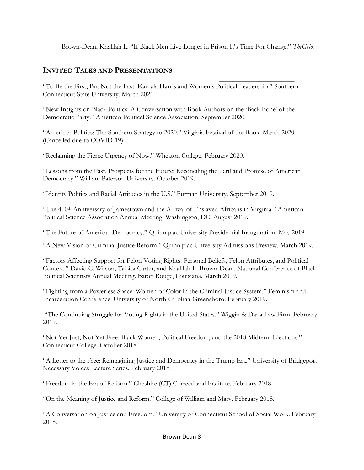Brown-Dean, Khalilah L. "If Black Men Live Longer in Prison It's Time For Change." *TheGrio.*

# **INVITED TALKS AND PRESENTATIONS**

 **\_\_\_\_\_\_\_\_\_\_\_\_\_\_\_\_\_\_\_\_\_\_\_** "To Be the First, But Not the Last: Kamala Harris and Women's Political Leadership." Southern Connecticut State University. March 2021.

"New Insights on Black Politics: A Conversation with Book Authors on the 'Back Bone' of the Democratic Party." American Political Science Association. September 2020.

"American Politics: The Southern Strategy to 2020." Virginia Festival of the Book. March 2020. (Cancelled due to COVID-19)

"Reclaiming the Fierce Urgency of Now." Wheaton College. February 2020.

"Lessons from the Past, Prospects for the Future: Reconciling the Peril and Promise of American Democracy." William Paterson University. October 2019.

"Identity Politics and Racial Attitudes in the U.S." Furman University. September 2019.

"The 400th Anniversary of Jamestown and the Arrival of Enslaved Africans in Virginia." American Political Science Association Annual Meeting. Washington, DC. August 2019.

"The Future of American Democracy." Quinnipiac University Presidential Inauguration. May 2019.

"A New Vision of Criminal Justice Reform." Quinnipiac University Admissions Preview. March 2019.

"Factors Affecting Support for Felon Voting Rights: Personal Beliefs, Felon Attributes, and Political Context." David C. Wilson, TaLisa Carter, and Khalilah L. Brown-Dean. National Conference of Black Political Scientists Annual Meeting. Baton Rouge, Louisiana. March 2019.

"Fighting from a Powerless Space: Women of Color in the Criminal Justice System." Feminism and Incarceration Conference. University of North Carolina-Greensboro. February 2019.

"The Continuing Struggle for Voting Rights in the United States." Wiggin & Dana Law Firm. February 2019.

"Not Yet Just, Not Yet Free: Black Women, Political Freedom, and the 2018 Midterm Elections." Connecticut College. October 2018.

"A Letter to the Free: Reimagining Justice and Democracy in the Trump Era." University of Bridgeport Necessary Voices Lecture Series. February 2018.

"Freedom in the Era of Reform." Cheshire (CT) Correctional Institute. February 2018.

"On the Meaning of Justice and Reform." College of William and Mary. February 2018.

"A Conversation on Justice and Freedom." University of Connecticut School of Social Work. February 2018.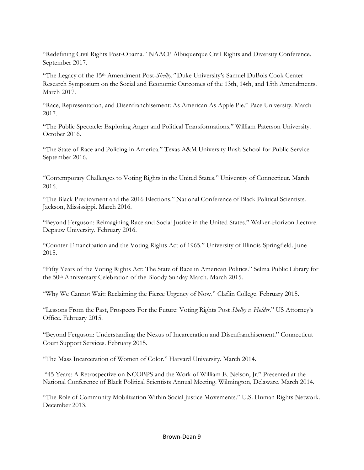"Redefining Civil Rights Post-Obama." NAACP Albuquerque Civil Rights and Diversity Conference. September 2017.

"The Legacy of the 15th Amendment Post-*Shelby."* Duke University's Samuel DuBois Cook Center Research Symposium on the Social and Economic Outcomes of the 13th, 14th, and 15th Amendments. March 2017.

"Race, Representation, and Disenfranchisement: As American As Apple Pie." Pace University. March 2017.

"The Public Spectacle: Exploring Anger and Political Transformations." William Paterson University. October 2016.

"The State of Race and Policing in America." Texas A&M University Bush School for Public Service. September 2016.

"Contemporary Challenges to Voting Rights in the United States." University of Connecticut. March 2016.

"The Black Predicament and the 2016 Elections." National Conference of Black Political Scientists. Jackson, Mississippi. March 2016.

"Beyond Ferguson: Reimagining Race and Social Justice in the United States." Walker-Horizon Lecture. Depauw University. February 2016.

"Counter-Emancipation and the Voting Rights Act of 1965." University of Illinois-Springfield. June 2015.

"Fifty Years of the Voting Rights Act: The State of Race in American Politics." Selma Public Library for the 50th Anniversary Celebration of the Bloody Sunday March. March 2015.

"Why We Cannot Wait: Reclaiming the Fierce Urgency of Now." Claflin College. February 2015.

"Lessons From the Past, Prospects For the Future: Voting Rights Post *Shelby v. Holder*." US Attorney's Office. February 2015.

"Beyond Ferguson: Understanding the Nexus of Incarceration and Disenfranchisement." Connecticut Court Support Services. February 2015.

"The Mass Incarceration of Women of Color." Harvard University. March 2014.

"45 Years: A Retrospective on NCOBPS and the Work of William E. Nelson, Jr." Presented at the National Conference of Black Political Scientists Annual Meeting. Wilmington, Delaware. March 2014.

"The Role of Community Mobilization Within Social Justice Movements." U.S. Human Rights Network. December 2013.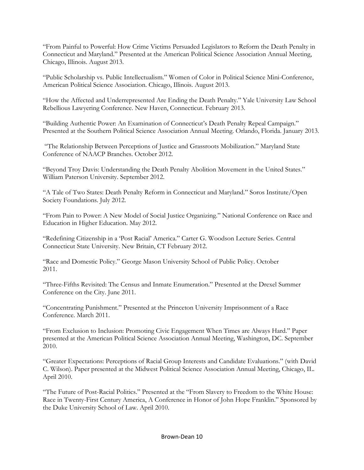"From Painful to Powerful: How Crime Victims Persuaded Legislators to Reform the Death Penalty in Connecticut and Maryland." Presented at the American Political Science Association Annual Meeting, Chicago, Illinois. August 2013.

"Public Scholarship vs. Public Intellectualism." Women of Color in Political Science Mini-Conference, American Political Science Association. Chicago, Illinois. August 2013.

"How the Affected and Underrepresented Are Ending the Death Penalty." Yale University Law School Rebellious Lawyering Conference. New Haven, Connecticut. February 2013.

"Building Authentic Power: An Examination of Connecticut's Death Penalty Repeal Campaign." Presented at the Southern Political Science Association Annual Meeting. Orlando, Florida. January 2013.

"The Relationship Between Perceptions of Justice and Grassroots Mobilization." Maryland State Conference of NAACP Branches. October 2012.

"Beyond Troy Davis: Understanding the Death Penalty Abolition Movement in the United States." William Paterson University. September 2012.

"A Tale of Two States: Death Penalty Reform in Connecticut and Maryland." Soros Institute/Open Society Foundations. July 2012.

"From Pain to Power: A New Model of Social Justice Organizing." National Conference on Race and Education in Higher Education. May 2012.

"Redefining Citizenship in a 'Post Racial' America." Carter G. Woodson Lecture Series. Central Connecticut State University. New Britain, CT February 2012.

"Race and Domestic Policy." George Mason University School of Public Policy. October 2011.

"Three-Fifths Revisited: The Census and Inmate Enumeration." Presented at the Drexel Summer Conference on the City. June 2011.

"Concentrating Punishment." Presented at the Princeton University Imprisonment of a Race Conference. March 2011.

"From Exclusion to Inclusion: Promoting Civic Engagement When Times are Always Hard." Paper presented at the American Political Science Association Annual Meeting, Washington, DC. September 2010.

"Greater Expectations: Perceptions of Racial Group Interests and Candidate Evaluations." (with David C. Wilson). Paper presented at the Midwest Political Science Association Annual Meeting, Chicago, IL. April 2010.

"The Future of Post-Racial Politics." Presented at the "From Slavery to Freedom to the White House: Race in Twenty-First Century America, A Conference in Honor of John Hope Franklin." Sponsored by the Duke University School of Law. April 2010.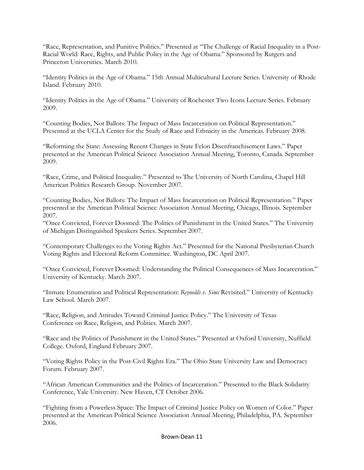"Race, Representation, and Punitive Politics." Presented at "The Challenge of Racial Inequality in a Post-Racial World: Race, Rights, and Public Policy in the Age of Obama." Sponsored by Rutgers and Princeton Universities. March 2010.

"Identity Politics in the Age of Obama." 15th Annual Multicultural Lecture Series. University of Rhode Island. February 2010.

"Identity Politics in the Age of Obama." University of Rochester Two Icons Lecture Series. February 2009.

"Counting Bodies, Not Ballots: The Impact of Mass Incarceration on Political Representation." Presented at the UCLA Center for the Study of Race and Ethnicity in the Americas. February 2008.

"Reforming the State: Assessing Recent Changes in State Felon Disenfranchisement Laws." Paper presented at the American Political Science Association Annual Meeting, Toronto, Canada. September 2009.

"Race, Crime, and Political Inequality." Presented to The University of North Carolina, Chapel Hill American Politics Research Group. November 2007.

"Counting Bodies, Not Ballots: The Impact of Mass Incarceration on Political Representation." Paper presented at the American Political Science Association Annual Meeting, Chicago, Illinois. September 2007.

"Once Convicted, Forever Doomed: The Politics of Punishment in the United States." The University of Michigan Distinguished Speakers Series. September 2007.

"Contemporary Challenges to the Voting Rights Act." Presented for the National Presbyterian Church Voting Rights and Electoral Reform Committee. Washington, DC April 2007.

"Once Convicted, Forever Doomed: Understanding the Political Consequences of Mass Incarceration." University of Kentucky. March 2007.

"Inmate Enumeration and Political Representation: *Reynolds v. Sims* Revisited." University of Kentucky Law School. March 2007.

"Race, Religion, and Attitudes Toward Criminal Justice Policy." The University of Texas Conference on Race, Religion, and Politics. March 2007.

"Race and the Politics of Punishment in the United States." Presented at Oxford University, Nuffield College. Oxford, England February 2007.

"Voting Rights Policy in the Post-Civil Rights Era." The Ohio State University Law and Democracy Forum. February 2007.

"African American Communities and the Politics of Incarceration." Presented to the Black Solidarity Conference, Yale University. New Haven, CT October 2006.

"Fighting from a Powerless Space: The Impact of Criminal Justice Policy on Women of Color." Paper presented at the American Political Science Association Annual Meeting, Philadelphia, PA. September 2006.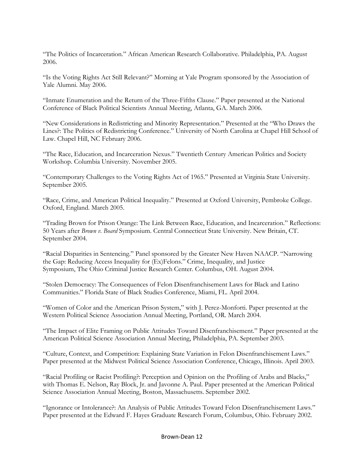"The Politics of Incarceration." African American Research Collaborative. Philadelphia, PA. August 2006.

"Is the Voting Rights Act Still Relevant?" Morning at Yale Program sponsored by the Association of Yale Alumni. May 2006.

"Inmate Enumeration and the Return of the Three-Fifths Clause." Paper presented at the National Conference of Black Political Scientists Annual Meeting, Atlanta, GA. March 2006.

"New Considerations in Redistricting and Minority Representation." Presented at the "Who Draws the Lines?: The Politics of Redistricting Conference." University of North Carolina at Chapel Hill School of Law. Chapel Hill, NC February 2006.

"The Race, Education, and Incarceration Nexus." Twentieth Century American Politics and Society Workshop. Columbia University. November 2005.

"Contemporary Challenges to the Voting Rights Act of 1965." Presented at Virginia State University. September 2005.

"Race, Crime, and American Political Inequality." Presented at Oxford University, Pembroke College. Oxford, England. March 2005.

"Trading Brown for Prison Orange: The Link Between Race, Education, and Incarceration." Reflections: 50 Years after *Brown v. Board* Symposium. Central Connecticut State University. New Britain, CT. September 2004.

"Racial Disparities in Sentencing." Panel sponsored by the Greater New Haven NAACP. "Narrowing the Gap: Reducing Access Inequality for (Ex)Felons." Crime, Inequality, and Justice Symposium, The Ohio Criminal Justice Research Center. Columbus, OH. August 2004.

"Stolen Democracy: The Consequences of Felon Disenfranchisement Laws for Black and Latino Communities." Florida State of Black Studies Conference, Miami, FL. April 2004.

"Women of Color and the American Prison System," with J. Perez-Monforti. Paper presented at the Western Political Science Association Annual Meeting, Portland, OR. March 2004.

"The Impact of Elite Framing on Public Attitudes Toward Disenfranchisement." Paper presented at the American Political Science Association Annual Meeting, Philadelphia, PA. September 2003.

"Culture, Context, and Competition: Explaining State Variation in Felon Disenfranchisement Laws." Paper presented at the Midwest Political Science Association Conference, Chicago, Illinois. April 2003.

"Racial Profiling or Racist Profiling?: Perception and Opinion on the Profiling of Arabs and Blacks," with Thomas E. Nelson, Ray Block, Jr. and Javonne A. Paul. Paper presented at the American Political Science Association Annual Meeting, Boston, Massachusetts. September 2002.

"Ignorance or Intolerance?: An Analysis of Public Attitudes Toward Felon Disenfranchisement Laws." Paper presented at the Edward F. Hayes Graduate Research Forum, Columbus, Ohio. February 2002.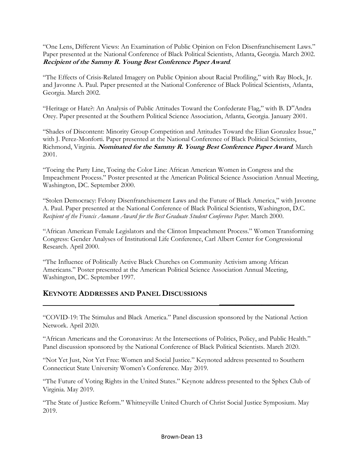"One Lens, Different Views: An Examination of Public Opinion on Felon Disenfranchisement Laws." Paper presented at the National Conference of Black Political Scientists, Atlanta, Georgia. March 2002. **Recipient of the Sammy R. Young Best Conference Paper Award***.* 

"The Effects of Crisis-Related Imagery on Public Opinion about Racial Profiling," with Ray Block, Jr. and Javonne A. Paul. Paper presented at the National Conference of Black Political Scientists, Atlanta, Georgia. March 2002.

"Heritage or Hate?: An Analysis of Public Attitudes Toward the Confederate Flag," with B. D"Andra Orey. Paper presented at the Southern Political Science Association, Atlanta, Georgia. January 2001.

"Shades of Discontent: Minority Group Competition and Attitudes Toward the Elian Gonzalez Issue," with J. Perez-Monforti. Paper presented at the National Conference of Black Political Scientists, Richmond, Virginia. **Nominated for the Sammy R. Young Best Conference Paper Award***.* March 2001.

"Toeing the Party Line, Toeing the Color Line: African American Women in Congress and the Impeachment Process." Poster presented at the American Political Science Association Annual Meeting, Washington, DC. September 2000.

"Stolen Democracy: Felony Disenfranchisement Laws and the Future of Black America," with Javonne A. Paul. Paper presented at the National Conference of Black Political Scientists, Washington, D.C. *Recipient of the Francis Aumann Award for the Best Graduate Student Conference Paper.* March 2000.

"African American Female Legislators and the Clinton Impeachment Process." Women Transforming Congress: Gender Analyses of Institutional Life Conference, Carl Albert Center for Congressional Research. April 2000.

"The Influence of Politically Active Black Churches on Community Activism among African Americans." Poster presented at the American Political Science Association Annual Meeting, Washington, DC. September 1997.

 **\_\_\_\_\_\_\_\_\_\_\_\_\_\_\_\_\_\_\_\_\_\_\_**

# **KEYNOTE ADDRESSES AND PANEL DISCUSSIONS**

"COVID-19: The Stimulus and Black America." Panel discussion sponsored by the National Action Network. April 2020.

"African Americans and the Coronavirus: At the Intersections of Politics, Policy, and Public Health." Panel discussion sponsored by the National Conference of Black Political Scientists. March 2020.

"Not Yet Just, Not Yet Free: Women and Social Justice." Keynoted address presented to Southern Connecticut State University Women's Conference. May 2019.

"The Future of Voting Rights in the United States." Keynote address presented to the Sphex Club of Virginia. May 2019.

"The State of Justice Reform." Whitneyville United Church of Christ Social Justice Symposium. May 2019.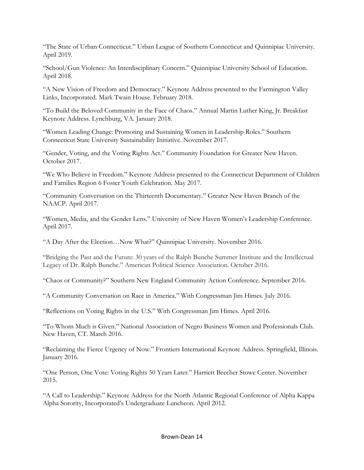"The State of Urban Connecticut." Urban League of Southern Connecticut and Quinnipiac University. April 2019.

"School/Gun Violence: An Interdisciplinary Concern." Quinnipiac University School of Education. April 2018.

"A New Vision of Freedom and Democracy." Keynote Address presented to the Farmington Valley Links, Incorporated. Mark Twain House. February 2018.

"To Build the Beloved Community in the Face of Chaos." Annual Martin Luther King, Jr. Breakfast Keynote Address. Lynchburg, VA. January 2018.

"Women Leading Change: Promoting and Sustaining Women in Leadership Roles." Southern Connecticut State University Sustainability Initiative. November 2017.

"Gender, Voting, and the Voting Rights Act." Community Foundation for Greater New Haven. October 2017.

"We Who Believe in Freedom." Keynote Address presented to the Connecticut Department of Children and Families Region 6 Foster Youth Celebration. May 2017.

"Community Conversation on the Thirteenth Documentary." Greater New Haven Branch of the NAACP. April 2017.

"Women, Media, and the Gender Lens." University of New Haven Women's Leadership Conference. April 2017.

"A Day After the Election…Now What?" Quinnipiac University. November 2016.

"Bridging the Past and the Future: 30 years of the Ralph Bunche Summer Institute and the Intellectual Legacy of Dr. Ralph Bunche." American Political Science Association. October 2016.

"Chaos or Community?" Southern New England Community Action Conference. September 2016.

"A Community Conversation on Race in America." With Congressman Jim Himes. July 2016.

"Reflections on Voting Rights in the U.S." With Congressman Jim Himes. April 2016.

"To Whom Much is Given." National Association of Negro Business Women and Professionals Club. New Haven, CT. March 2016.

"Reclaiming the Fierce Urgency of Now." Frontiers International Keynote Address. Springfield, Illinois. January 2016.

"One Person, One Vote: Voting Rights 50 Years Later." Harriett Beecher Stowe Center. November 2015.

"A Call to Leadership." Keynote Address for the North Atlantic Regional Conference of Alpha Kappa Alpha Sorority, Incorporated's Undergraduate Luncheon. April 2012.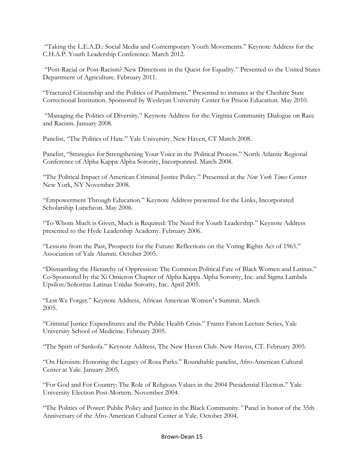"Taking the L.E.A.D.: Social Media and Contemporary Youth Movements." Keynote Address for the C.H.A.P. Youth Leadership Conference. March 2012.

"Post-Racial or Post-Racism? New Directions in the Quest for Equality." Presented to the United States Department of Agriculture. February 2011.

"Fractured Citizenship and the Politics of Punishment." Presented to inmates at the Cheshire State Correctional Institution. Sponsored by Wesleyan University Center for Prison Education. May 2010.

"Managing the Politics of Diversity." Keynote Address for the Virginia Community Dialogue on Race and Racism. January 2008.

Panelist, "The Politics of Hate." Yale University. New Haven, CT March 2008.

Panelist, "Strategies for Strengthening Your Voice in the Political Process." North Atlantic Regional Conference of Alpha Kappa Alpha Sorority, Incorporated. March 2008.

"The Political Impact of American Criminal Justice Policy." Presented at the *New York Times* Center New York, NY November 2008.

"Empowerment Through Education." Keynote Address presented for the Links, Incorporated Scholarship Luncheon. May 2006.

"To Whom Much is Given, Much is Required: The Need for Youth Leadership." Keynote Address presented to the Hyde Leadership Academy. February 2006.

"Lessons from the Past, Prospects for the Future: Reflections on the Voting Rights Act of 1965." Association of Yale Alumni. October 2005.

"Dismantling the Hierarchy of Oppression: The Common Political Fate of Black Women and Latinas." Co-Sponsored by the Xi Omicron Chapter of Alpha Kappa Alpha Sorority, Inc. and Sigma Lambda Upsilon/Señoritas Latinas Unidas Sorority, Inc. April 2005.

"Lest We Forget." Keynote Address, African American Women's Summit. March 2005.

"Criminal Justice Expenditures and the Public Health Crisis." Frantz Fanon Lecture Series, Yale University School of Medicine. February 2005.

"The Spirit of Sankofa." Keynote Address, The New Haven Club. New Haven, CT. February 2005.

"On Heroism: Honoring the Legacy of Rosa Parks." Roundtable panelist, Afro-American Cultural Center at Yale. January 2005.

"For God and For Country: The Role of Religious Values in the 2004 Presidential Election." Yale University Election Post-Mortem. November 2004.

"The Politics of Power: Public Policy and Justice in the Black Community*."* Panel in honor of the 35th Anniversary of the Afro-American Cultural Center at Yale. October 2004.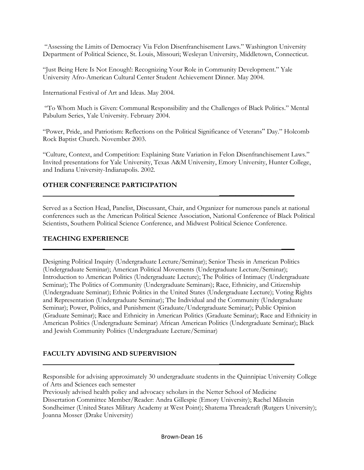"Assessing the Limits of Democracy Via Felon Disenfranchisement Laws." Washington University Department of Political Science, St. Louis, Missouri; Wesleyan University, Middletown, Connecticut.

"Just Being Here Is Not Enough!: Recognizing Your Role in Community Development." Yale University Afro-American Cultural Center Student Achievement Dinner. May 2004.

International Festival of Art and Ideas. May 2004.

"To Whom Much is Given: Communal Responsibility and the Challenges of Black Politics." Mental Pabulum Series, Yale University. February 2004.

"Power, Pride, and Patriotism: Reflections on the Political Significance of Veterans" Day." Holcomb Rock Baptist Church. November 2003.

"Culture, Context, and Competition: Explaining State Variation in Felon Disenfranchisement Laws." Invited presentations for Yale University, Texas A&M University, Emory University, Hunter College, and Indiana University-Indianapolis. 2002.

 **\_\_\_\_\_\_\_\_\_\_\_\_\_\_\_\_\_\_\_\_\_\_\_**

**\_\_\_\_\_\_\_\_\_\_\_\_\_\_\_\_\_\_\_ \_\_\_\_** 

# **OTHER CONFERENCE PARTICIPATION**

Served as a Section Head, Panelist, Discussant, Chair, and Organizer for numerous panels at national conferences such as the American Political Science Association, National Conference of Black Political Scientists, Southern Political Science Conference, and Midwest Political Science Conference.

# **TEACHING EXPERIENCE**

Designing Political Inquiry (Undergraduate Lecture/Seminar); Senior Thesis in American Politics (Undergraduate Seminar); American Political Movements (Undergraduate Lecture/Seminar); Introduction to American Politics (Undergraduate Lecture); The Politics of Intimacy (Undergraduate Seminar); The Politics of Community (Undergraduate Seminars); Race, Ethnicity, and Citizenship (Undergraduate Seminar); Ethnic Politics in the United States (Undergraduate Lecture); Voting Rights and Representation (Undergraduate Seminar); The Individual and the Community (Undergraduate Seminar); Power, Politics, and Punishment (Graduate/Undergraduate Seminar); Public Opinion (Graduate Seminar); Race and Ethnicity in American Politics (Graduate Seminar); Race and Ethnicity in American Politics (Undergraduate Seminar) African American Politics (Undergraduate Seminar); Black and Jewish Community Politics (Undergraduate Lecture/Seminar)

# **FACULTY ADVISING AND SUPERVISION**

Responsible for advising approximately 30 undergraduate students in the Quinnipiac University College of Arts and Sciences each semester

 **\_\_\_\_\_\_\_\_\_\_\_\_\_\_\_\_\_\_\_\_\_\_\_**

Previously advised health policy and advocacy scholars in the Netter School of Medicine Dissertation Committee Member/Reader: Andra Gillespie (Emory University); Rachel Milstein Sondheimer (United States Military Academy at West Point); Shatema Threadcraft (Rutgers University); Joanna Mosser (Drake University)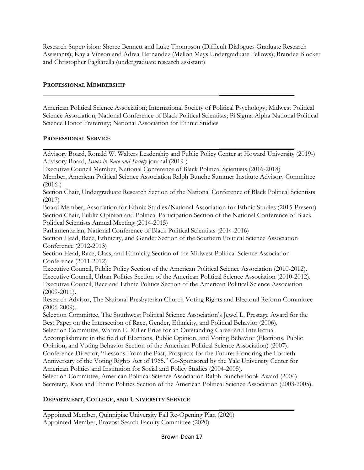Research Supervision: Sheree Bennett and Luke Thompson (Difficult Dialogues Graduate Research Assistants); Kayla Vinson and Adrea Hernandez (Mellon Mays Undergraduate Fellows); Brandee Blocker and Christopher Pagliarella (undergraduate research assistant)

# **PROFESSIONAL MEMBERSHIP**

American Political Science Association; International Society of Political Psychology; Midwest Political Science Association; National Conference of Black Political Scientists; Pi Sigma Alpha National Political Science Honor Fraternity; National Association for Ethnic Studies

 **\_\_\_\_\_\_\_\_\_\_\_\_\_\_\_\_\_\_\_\_\_\_\_**

# **PROFESSIONAL SERVICE**

 **\_\_\_\_\_\_\_\_\_\_\_\_\_\_\_\_\_\_\_\_\_\_\_** Advisory Board, Ronald W. Walters Leadership and Public Policy Center at Howard University (2019-) Advisory Board, *Issues in Race and Society* journal (2019-)

Executive Council Member, National Conference of Black Political Scientists (2016-2018)

Member, American Political Science Association Ralph Bunche Summer Institute Advisory Committee  $(2016-)$ 

Section Chair, Undergraduate Research Section of the National Conference of Black Political Scientists (2017)

Board Member, Association for Ethnic Studies/National Association for Ethnic Studies (2015-Present) Section Chair, Public Opinion and Political Participation Section of the National Conference of Black Political Scientists Annual Meeting (2014-2015)

Parliamentarian, National Conference of Black Political Scientists (2014-2016)

Section Head, Race, Ethnicity, and Gender Section of the Southern Political Science Association Conference (2012-2013)

Section Head, Race, Class, and Ethnicity Section of the Midwest Political Science Association Conference (2011-2012)

Executive Council, Public Policy Section of the American Political Science Association (2010-2012). Executive Council, Urban Politics Section of the American Political Science Association (2010-2012). Executive Council, Race and Ethnic Politics Section of the American Political Science Association (2009-2011).

Research Advisor, The National Presbyterian Church Voting Rights and Electoral Reform Committee (2006-2009).

Selection Committee, The Southwest Political Science Association's Jewel L. Prestage Award for the Best Paper on the Intersection of Race, Gender, Ethnicity, and Political Behavior (2006).

Selection Committee, Warren E. Miller Prize for an Outstanding Career and Intellectual

Accomplishment in the field of Elections, Public Opinion, and Voting Behavior (Elections, Public Opinion, and Voting Behavior Section of the American Political Science Association) (2007).

Conference Director, "Lessons From the Past, Prospects for the Future: Honoring the Fortieth Anniversary of the Voting Rights Act of 1965." Co-Sponsored by the Yale University Center for

 **\_\_\_\_\_\_\_\_\_\_\_\_\_\_\_\_\_\_\_\_\_\_\_**

American Politics and Institution for Social and Policy Studies (2004-2005). Selection Committee, American Political Science Association Ralph Bunche Book Award (2004) Secretary, Race and Ethnic Politics Section of the American Political Science Association (2003-2005).

# **DEPARTMENT, COLLEGE, AND UNIVERSITY SERVICE**

Appointed Member, Quinnipiac University Fall Re-Opening Plan (2020) Appointed Member, Provost Search Faculty Committee (2020)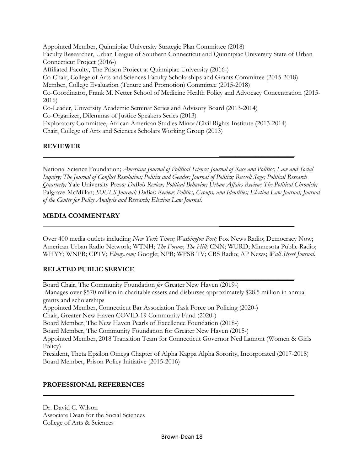Appointed Member, Quinnipiac University Strategic Plan Committee (2018) Faculty Researcher, Urban League of Southern Connecticut and Quinnipiac University State of Urban Connecticut Project (2016-) Affiliated Faculty, The Prison Project at Quinnipiac University (2016-) Co-Chair, College of Arts and Sciences Faculty Scholarships and Grants Committee (2015-2018) Member, College Evaluation (Tenure and Promotion) Committee (2015-2018) Co-Coordinator, Frank M. Netter School of Medicine Health Policy and Advocacy Concentration (2015- 2016) Co-Leader, University Academic Seminar Series and Advisory Board (2013-2014) Co-Organizer, Dilemmas of Justice Speakers Series (2013) Exploratory Committee, African American Studies Minor/Civil Rights Institute (2013-2014) Chair, College of Arts and Sciences Scholars Working Group (2013)

### **REVIEWER**

National Science Foundation; *American Journal of Political Science; Journal of Race and Politics; Law and Social Inquiry; The Journal of Conflict Resolution; Politics and Gender; Journal of Politics; Russell Sage; Political Research Quarterly;* Yale University Press*; DuBois Review; Political Behavior; Urban Affairs Review; The Political Chronicle;*  Palgrave-McMillan; *SOULS Journal; DuBois Review; Politics, Groups, and Identities; Election Law Journal; Journal of the Center for Policy Analysis and Research; Election Law Journal.*

 **\_\_\_\_\_\_\_\_\_\_\_\_\_\_\_\_\_\_\_\_\_\_\_**

 **\_\_\_\_\_\_\_\_\_\_\_\_\_\_\_\_\_\_\_\_\_\_\_**

### **MEDIA COMMENTARY**

Over 400 media outlets including *New York Times; Washington Post;* Fox News Radio; Democracy Now; American Urban Radio Network; WTNH; *The Forum*; *The Hill;* CNN; WURD; Minnesota Public Radio; WHYY; WNPR; CPTV; *Ebony.com;* Google; NPR; WFSB TV; CBS Radio; AP News; *Wall Street Journal.*

# **RELATED PUBLIC SERVICE**

 **\_\_\_\_\_\_\_\_\_\_\_\_\_\_\_\_\_\_\_\_\_\_\_** Board Chair, The Community Foundation *for* Greater New Haven (2019-) -Manages over \$570 million in charitable assets and disburses approximately \$28.5 million in annual grants and scholarships Appointed Member, Connecticut Bar Association Task Force on Policing (2020-) Chair, Greater New Haven COVID-19 Community Fund (2020-) Board Member, The New Haven Pearls of Excellence Foundation (2018-) Board Member, The Community Foundation for Greater New Haven (2015-) Appointed Member, 2018 Transition Team for Connecticut Governor Ned Lamont (Women & Girls Policy) President, Theta Epsilon Omega Chapter of Alpha Kappa Alpha Sorority, Incorporated (2017-2018) Board Member, Prison Policy Initiative (2015-2016)

### **PROFESSIONAL REFERENCES**

Dr. David C. Wilson Associate Dean for the Social Sciences College of Arts & Sciences

 **\_\_\_\_\_\_\_\_\_\_\_\_\_\_\_\_\_\_\_\_\_\_\_**